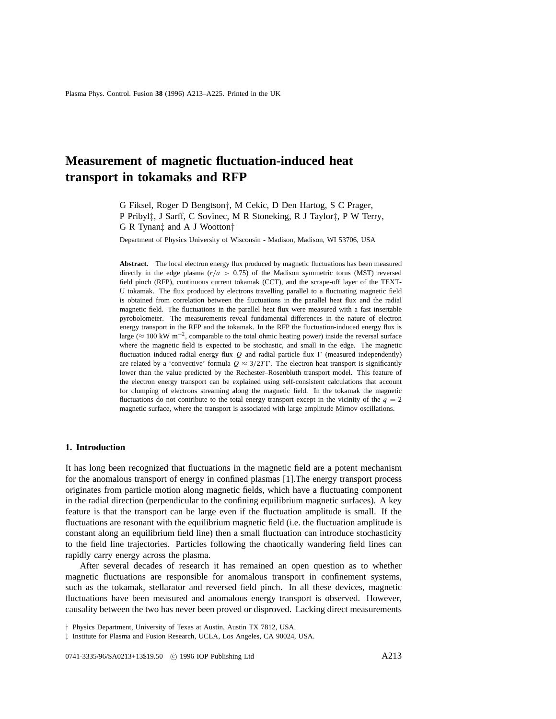# **Measurement of magnetic fluctuation-induced heat transport in tokamaks and RFP**

G Fiksel, Roger D Bengtson*†*, M Cekic, D Den Hartog, S C Prager, P Pribyl*‡*, J Sarff, C Sovinec, M R Stoneking,RJTaylor*‡*,PWTerry, G R Tynan*‡* and A J Wootton*†*

Department of Physics University of Wisconsin - Madison, Madison, WI 53706, USA

Abstract. The local electron energy flux produced by magnetic fluctuations has been measured directly in the edge plasma  $(r/a > 0.75)$  of the Madison symmetric torus (MST) reversed field pinch (RFP), continuous current tokamak (CCT), and the scrape-off layer of the TEXT-U tokamak. The flux produced by electrons travelling parallel to a fluctuating magnetic field is obtained from correlation between the fluctuations in the parallel heat flux and the radial magnetic field. The fluctuations in the parallel heat flux were measured with a fast insertable pyrobolometer. The measurements reveal fundamental differences in the nature of electron energy transport in the RFP and the tokamak. In the RFP the fluctuation-induced energy flux is large ( $\approx$  100 kW m<sup>-2</sup>, comparable to the total ohmic heating power) inside the reversal surface where the magnetic field is expected to be stochastic, and small in the edge. The magnetic fluctuation induced radial energy flux  $Q$  and radial particle flux  $\Gamma$  (measured independently) are related by a 'convective' formula  $Q \approx 3/2T\Gamma$ . The electron heat transport is significantly lower than the value predicted by the Rechester–Rosenbluth transport model. This feature of the electron energy transport can be explained using self-consistent calculations that account for clumping of electrons streaming along the magnetic field. In the tokamak the magnetic fluctuations do not contribute to the total energy transport except in the vicinity of the  $q = 2$ magnetic surface, where the transport is associated with large amplitude Mirnov oscillations.

## **1. Introduction**

It has long been recognized that fluctuations in the magnetic field are a potent mechanism for the anomalous transport of energy in confined plasmas [1].The energy transport process originates from particle motion along magnetic fields, which have a fluctuating component in the radial direction (perpendicular to the confining equilibrium magnetic surfaces). A key feature is that the transport can be large even if the fluctuation amplitude is small. If the fluctuations are resonant with the equilibrium magnetic field (i.e. the fluctuation amplitude is constant along an equilibrium field line) then a small fluctuation can introduce stochasticity to the field line trajectories. Particles following the chaotically wandering field lines can rapidly carry energy across the plasma.

After several decades of research it has remained an open question as to whether magnetic fluctuations are responsible for anomalous transport in confinement systems, such as the tokamak, stellarator and reversed field pinch. In all these devices, magnetic fluctuations have been measured and anomalous energy transport is observed. However, causality between the two has never been proved or disproved. Lacking direct measurements

*†* Physics Department, University of Texas at Austin, Austin TX 7812, USA.

*‡* Institute for Plasma and Fusion Research, UCLA, Los Angeles, CA 90024, USA.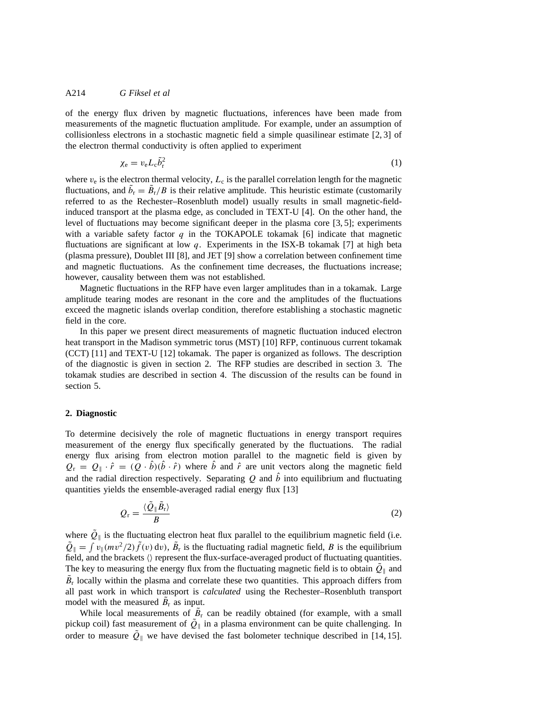of the energy flux driven by magnetic fluctuations, inferences have been made from measurements of the magnetic fluctuation amplitude. For example, under an assumption of collisionless electrons in a stochastic magnetic field a simple quasilinear estimate [2, 3] of the electron thermal conductivity is often applied to experiment

$$
\chi_{\rm e} = v_{\rm e} L_{\rm c} \tilde{b}_{\rm r}^2 \tag{1}
$$

where  $v_e$  is the electron thermal velocity,  $L_c$  is the parallel correlation length for the magnetic fluctuations, and  $b_r = B_r/B$  is their relative amplitude. This heuristic estimate (customarily referred to as the Rechester–Rosenbluth model) usually results in small magnetic-fieldinduced transport at the plasma edge, as concluded in TEXT-U [4]. On the other hand, the level of fluctuations may become significant deeper in the plasma core [3, 5]; experiments with a variable safety factor  $q$  in the TOKAPOLE tokamak [6] indicate that magnetic fluctuations are significant at low *q*. Experiments in the ISX-B tokamak [7] at high beta (plasma pressure), Doublet III [8], and JET [9] show a correlation between confinement time and magnetic fluctuations. As the confinement time decreases, the fluctuations increase; however, causality between them was not established.

Magnetic fluctuations in the RFP have even larger amplitudes than in a tokamak. Large amplitude tearing modes are resonant in the core and the amplitudes of the fluctuations exceed the magnetic islands overlap condition, therefore establishing a stochastic magnetic field in the core.

In this paper we present direct measurements of magnetic fluctuation induced electron heat transport in the Madison symmetric torus (MST) [10] RFP, continuous current tokamak (CCT) [11] and TEXT-U [12] tokamak. The paper is organized as follows. The description of the diagnostic is given in section 2. The RFP studies are described in section 3. The tokamak studies are described in section 4. The discussion of the results can be found in section 5.

## **2. Diagnostic**

To determine decisively the role of magnetic fluctuations in energy transport requires measurement of the energy flux specifically generated by the fluctuations. The radial energy flux arising from electron motion parallel to the magnetic field is given by  $Q_r = Q_\parallel \cdot \hat{r} = (\rho \cdot \hat{b})(\hat{b} \cdot \hat{r})$  where  $\hat{b}$  and  $\hat{r}$  are unit vectors along the magnetic field and the radial direction respectively. Separating  $Q$  and  $\hat{b}$  into equilibrium and fluctuating quantities yields the ensemble-averaged radial energy flux [13]

$$
Q_{\rm r} = \frac{\langle \tilde{Q}_{\parallel} \tilde{B}_{\rm r} \rangle}{B} \tag{2}
$$

where  $\tilde{Q}_{\parallel}$  is the fluctuating electron heat flux parallel to the equilibrium magnetic field (i.e.  $\tilde{Q}_{\parallel} = \int v_{\parallel}(mv^2/2)\tilde{f}(v) dv$ ,  $\tilde{B}_{\rm r}$  is the fluctuating radial magnetic field, *B* is the equilibrium field, and the brackets  $\langle \rangle$  represent the flux-surface-averaged product of fluctuating quantities. The key to measuring the energy flux from the fluctuating magnetic field is to obtain  $\tilde{Q}_{\parallel}$  and  $\tilde{B}_r$  locally within the plasma and correlate these two quantities. This approach differs from all past work in which transport is *calculated* using the Rechester–Rosenbluth transport model with the measured  $B_r$  as input.

While local measurements of  $\tilde{B}_r$  can be readily obtained (for example, with a small pickup coil) fast measurement of  $\tilde{Q}_{\parallel}$  in a plasma environment can be quite challenging. In order to measure  $\tilde{Q}_{\parallel}$  we have devised the fast bolometer technique described in [14, 15].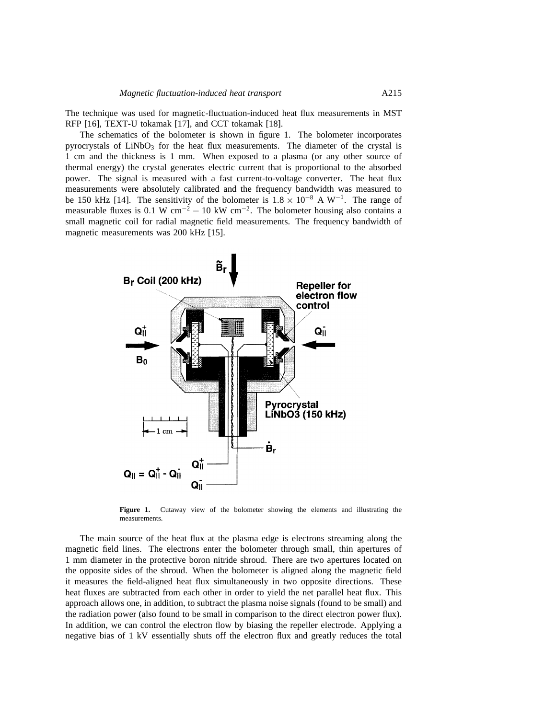The technique was used for magnetic-fluctuation-induced heat flux measurements in MST RFP [16], TEXT-U tokamak [17], and CCT tokamak [18].

The schematics of the bolometer is shown in figure 1. The bolometer incorporates pyrocrystals of  $LiNbO<sub>3</sub>$  for the heat flux measurements. The diameter of the crystal is 1 cm and the thickness is 1 mm. When exposed to a plasma (or any other source of thermal energy) the crystal generates electric current that is proportional to the absorbed power. The signal is measured with a fast current-to-voltage converter. The heat flux measurements were absolutely calibrated and the frequency bandwidth was measured to be 150 kHz [14]. The sensitivity of the bolometer is  $1.8 \times 10^{-8}$  A W<sup>-1</sup>. The range of measurable fluxes is 0.1 W cm<sup> $-2$ </sup> − 10 kW cm<sup> $-2$ </sup>. The bolometer housing also contains a small magnetic coil for radial magnetic field measurements. The frequency bandwidth of magnetic measurements was 200 kHz [15].



Figure 1. Cutaway view of the bolometer showing the elements and illustrating the measurements.

The main source of the heat flux at the plasma edge is electrons streaming along the magnetic field lines. The electrons enter the bolometer through small, thin apertures of 1 mm diameter in the protective boron nitride shroud. There are two apertures located on the opposite sides of the shroud. When the bolometer is aligned along the magnetic field it measures the field-aligned heat flux simultaneously in two opposite directions. These heat fluxes are subtracted from each other in order to yield the net parallel heat flux. This approach allows one, in addition, to subtract the plasma noise signals (found to be small) and the radiation power (also found to be small in comparison to the direct electron power flux). In addition, we can control the electron flow by biasing the repeller electrode. Applying a negative bias of 1 kV essentially shuts off the electron flux and greatly reduces the total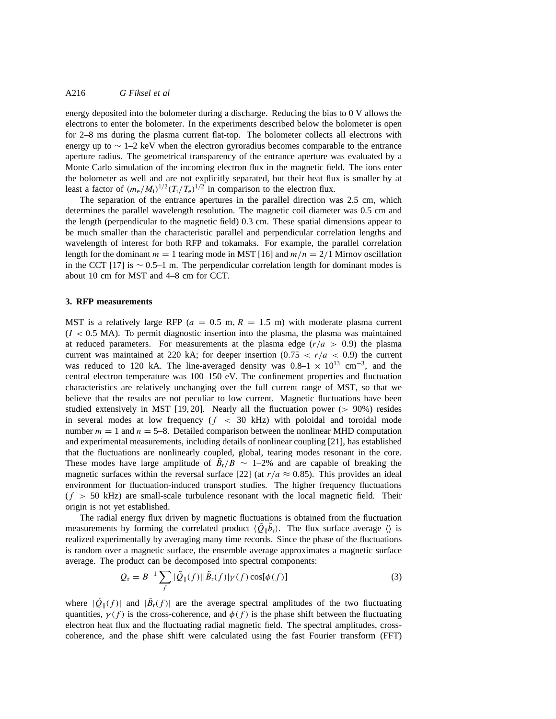### A216 *G Fiksel et al*

energy deposited into the bolometer during a discharge. Reducing the bias to 0 V allows the electrons to enter the bolometer. In the experiments described below the bolometer is open for 2–8 ms during the plasma current flat-top. The bolometer collects all electrons with energy up to ∼ 1–2 keV when the electron gyroradius becomes comparable to the entrance aperture radius. The geometrical transparency of the entrance aperture was evaluated by a Monte Carlo simulation of the incoming electron flux in the magnetic field. The ions enter the bolometer as well and are not explicitly separated, but their heat flux is smaller by at least a factor of  $(m_e/M_i)^{1/2}(T_i/T_e)^{1/2}$  in comparison to the electron flux.

The separation of the entrance apertures in the parallel direction was 2.5 cm, which determines the parallel wavelength resolution. The magnetic coil diameter was 0.5 cm and the length (perpendicular to the magnetic field) 0.3 cm. These spatial dimensions appear to be much smaller than the characteristic parallel and perpendicular correlation lengths and wavelength of interest for both RFP and tokamaks. For example, the parallel correlation length for the dominant  $m = 1$  tearing mode in MST [16] and  $m/n = 2/1$  Mirnov oscillation in the CCT [17] is ∼ 0*.*5–1 m. The perpendicular correlation length for dominant modes is about 10 cm for MST and 4–8 cm for CCT.

## **3. RFP measurements**

MST is a relatively large RFP ( $a = 0.5$  m,  $R = 1.5$  m) with moderate plasma current  $(I < 0.5$  MA). To permit diagnostic insertion into the plasma, the plasma was maintained at reduced parameters. For measurements at the plasma edge  $(r/a > 0.9)$  the plasma current was maintained at 220 kA; for deeper insertion  $(0.75 < r/a < 0.9)$  the current was reduced to 120 kA. The line-averaged density was  $0.8-1 \times 10^{13}$  cm<sup>-3</sup>, and the central electron temperature was 100–150 eV. The confinement properties and fluctuation characteristics are relatively unchanging over the full current range of MST, so that we believe that the results are not peculiar to low current. Magnetic fluctuations have been studied extensively in MST [19, 20]. Nearly all the fluctuation power (*>* 90%) resides in several modes at low frequency (*f <* 30 kHz) with poloidal and toroidal mode number  $m = 1$  and  $n = 5-8$ . Detailed comparison between the nonlinear MHD computation and experimental measurements, including details of nonlinear coupling [21], has established that the fluctuations are nonlinearly coupled, global, tearing modes resonant in the core. These modes have large amplitude of  $\tilde{B}_r/B \sim 1-2\%$  and are capable of breaking the magnetic surfaces within the reversal surface [22] (at  $r/a \approx 0.85$ ). This provides an ideal environment for fluctuation-induced transport studies. The higher frequency fluctuations  $(f > 50$  kHz) are small-scale turbulence resonant with the local magnetic field. Their origin is not yet established.

The radial energy flux driven by magnetic fluctuations is obtained from the fluctuation measurements by forming the correlated product  $\langle Q_{\parallel} b_{\rm r} \rangle$ . The flux surface average  $\langle \rangle$  is realized experimentally by averaging many time records. Since the phase of the fluctuations is random over a magnetic surface, the ensemble average approximates a magnetic surface average. The product can be decomposed into spectral components:

$$
Q_{\rm r} = B^{-1} \sum_{f} |\tilde{Q}_{\parallel}(f)||\tilde{B}_{\rm r}(f)|\gamma(f)\cos[\phi(f)] \tag{3}
$$

where  $|\tilde{Q}_{\parallel}(f)|$  and  $|\tilde{B}_{\parallel}(f)|$  are the average spectral amplitudes of the two fluctuating quantities,  $\gamma(f)$  is the cross-coherence, and  $\phi(f)$  is the phase shift between the fluctuating electron heat flux and the fluctuating radial magnetic field. The spectral amplitudes, crosscoherence, and the phase shift were calculated using the fast Fourier transform (FFT)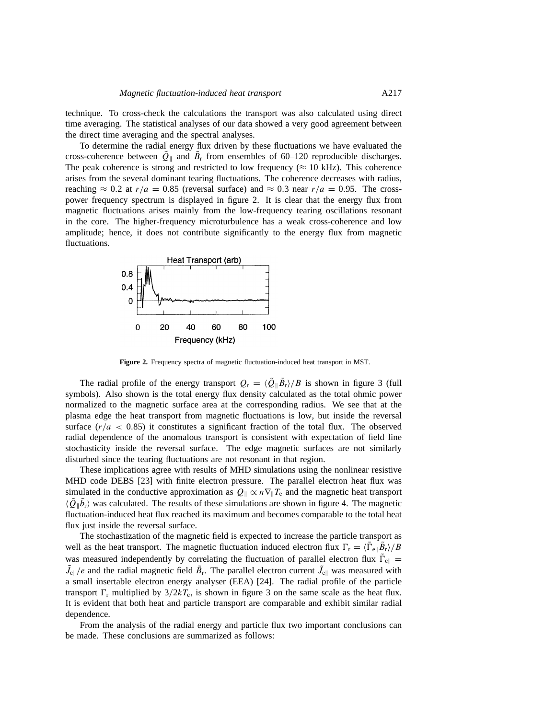technique. To cross-check the calculations the transport was also calculated using direct time averaging. The statistical analyses of our data showed a very good agreement between the direct time averaging and the spectral analyses.

To determine the radial energy flux driven by these fluctuations we have evaluated the cross-coherence between  $\tilde{Q}_{\parallel}$  and  $\tilde{B}_{\rm r}$  from ensembles of 60–120 reproducible discharges. The peak coherence is strong and restricted to low frequency ( $\approx 10$  kHz). This coherence arises from the several dominant tearing fluctuations. The coherence decreases with radius, reaching  $\approx 0.2$  at  $r/a = 0.85$  (reversal surface) and  $\approx 0.3$  near  $r/a = 0.95$ . The crosspower frequency spectrum is displayed in figure 2. It is clear that the energy flux from magnetic fluctuations arises mainly from the low-frequency tearing oscillations resonant in the core. The higher-frequency microturbulence has a weak cross-coherence and low amplitude; hence, it does not contribute significantly to the energy flux from magnetic fluctuations.



**Figure 2.** Frequency spectra of magnetic fluctuation-induced heat transport in MST.

The radial profile of the energy transport  $Q_r = \langle \tilde{Q}_\parallel \tilde{B}_r \rangle / B$  is shown in figure 3 (full symbols). Also shown is the total energy flux density calculated as the total ohmic power normalized to the magnetic surface area at the corresponding radius. We see that at the plasma edge the heat transport from magnetic fluctuations is low, but inside the reversal surface  $(r/a < 0.85)$  it constitutes a significant fraction of the total flux. The observed radial dependence of the anomalous transport is consistent with expectation of field line stochasticity inside the reversal surface. The edge magnetic surfaces are not similarly disturbed since the tearing fluctuations are not resonant in that region.

These implications agree with results of MHD simulations using the nonlinear resistive MHD code DEBS [23] with finite electron pressure. The parallel electron heat flux was simulated in the conductive approximation as  $Q_k \propto n \nabla_k T_e$  and the magnetic heat transport  $\langle Q_{\parallel}b_{\rm r}\rangle$  was calculated. The results of these simulations are shown in figure 4. The magnetic fluctuation-induced heat flux reached its maximum and becomes comparable to the total heat flux just inside the reversal surface.

The stochastization of the magnetic field is expected to increase the particle transport as well as the heat transport. The magnetic fluctuation induced electron flux  $\Gamma_r = \langle \Gamma_{\text{el}} B_r \rangle / B$ was measured independently by correlating the fluctuation of parallel electron flux  $\tilde{\Gamma}_{\text{ell}} =$  $J_{\text{el}}/e$  and the radial magnetic field  $B_r$ . The parallel electron current  $J_{\text{el}}$  was measured with a small insertable electron energy analyser (EEA) [24]. The radial profile of the particle transport  $\Gamma_r$  multiplied by  $3/2kT_e$ , is shown in figure 3 on the same scale as the heat flux. It is evident that both heat and particle transport are comparable and exhibit similar radial dependence.

From the analysis of the radial energy and particle flux two important conclusions can be made. These conclusions are summarized as follows: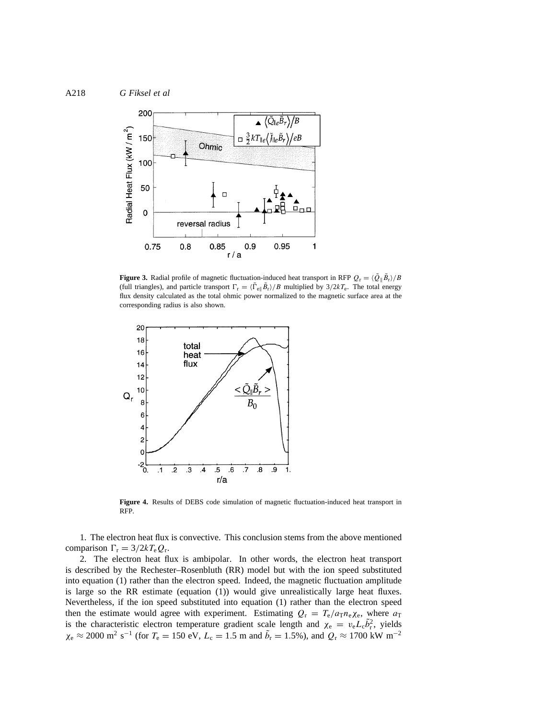

**Figure 3.** Radial profile of magnetic fluctuation-induced heat transport in RFP  $Q_r = \langle \tilde{Q}_\parallel \tilde{B}_r \rangle / B$ (full triangles), and particle transport  $\Gamma_r = \langle \tilde{\Gamma}_{e|} \tilde{B}_r \rangle / B$  multiplied by  $3/2kT_e$ . The total energy flux density calculated as the total ohmic power normalized to the magnetic surface area at the corresponding radius is also shown.



**Figure 4.** Results of DEBS code simulation of magnetic fluctuation-induced heat transport in RFP.

1. The electron heat flux is convective. This conclusion stems from the above mentioned comparison  $\Gamma_{\rm r} = 3/2kT_{\rm e}Q_{\rm r}$ .

2. The electron heat flux is ambipolar. In other words, the electron heat transport is described by the Rechester–Rosenbluth (RR) model but with the ion speed substituted into equation (1) rather than the electron speed. Indeed, the magnetic fluctuation amplitude is large so the RR estimate (equation (1)) would give unrealistically large heat fluxes. Nevertheless, if the ion speed substituted into equation (1) rather than the electron speed then the estimate would agree with experiment. Estimating  $Q_r = T_e/a_T n_e \chi_e$ , where  $a_T$ is the characteristic electron temperature gradient scale length and  $\chi_e = v_e L_c \tilde{b}_r^2$ , yields  $\chi_e \approx 2000 \text{ m}^2 \text{ s}^{-1}$  (for  $T_e = 150 \text{ eV}$ ,  $L_c = 1.5 \text{ m}$  and  $\tilde{b}_r = 1.5\%$ ), and  $Q_r \approx 1700 \text{ kW m}^{-2}$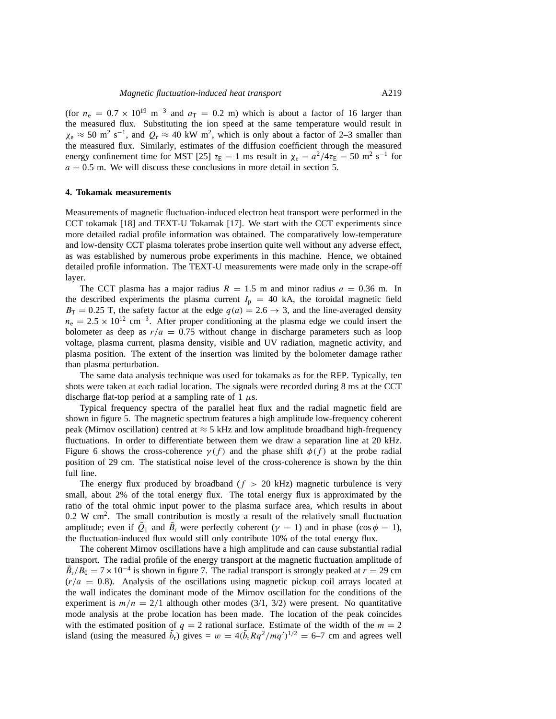(for  $n_e = 0.7 \times 10^{19}$  m<sup>-3</sup> and  $a_T = 0.2$  m) which is about a factor of 16 larger than the measured flux. Substituting the ion speed at the same temperature would result in  $\chi_e \approx 50$  m<sup>2</sup> s<sup>-1</sup>, and  $Q_r \approx 40$  kW m<sup>2</sup>, which is only about a factor of 2–3 smaller than the measured flux. Similarly, estimates of the diffusion coefficient through the measured energy confinement time for MST [25]  $\tau_{\rm E} = 1$  ms result in  $\chi_{\rm e} = a^2/4\tau_{\rm E} = 50$  m<sup>2</sup> s<sup>-1</sup> for  $a = 0.5$  m. We will discuss these conclusions in more detail in section 5.

#### **4. Tokamak measurements**

Measurements of magnetic fluctuation-induced electron heat transport were performed in the CCT tokamak [18] and TEXT-U Tokamak [17]. We start with the CCT experiments since more detailed radial profile information was obtained. The comparatively low-temperature and low-density CCT plasma tolerates probe insertion quite well without any adverse effect, as was established by numerous probe experiments in this machine. Hence, we obtained detailed profile information. The TEXT-U measurements were made only in the scrape-off layer.

The CCT plasma has a major radius  $R = 1.5$  m and minor radius  $a = 0.36$  m. In the described experiments the plasma current  $I_p = 40$  kA, the toroidal magnetic field  $B_T = 0.25$  T, the safety factor at the edge  $q(a) = 2.6 \rightarrow 3$ , and the line-averaged density  $n_e = 2.5 \times 10^{12}$  cm<sup>-3</sup>. After proper conditioning at the plasma edge we could insert the bolometer as deep as  $r/a = 0.75$  without change in discharge parameters such as loop voltage, plasma current, plasma density, visible and UV radiation, magnetic activity, and plasma position. The extent of the insertion was limited by the bolometer damage rather than plasma perturbation.

The same data analysis technique was used for tokamaks as for the RFP. Typically, ten shots were taken at each radial location. The signals were recorded during 8 ms at the CCT discharge flat-top period at a sampling rate of  $1 \mu s$ .

Typical frequency spectra of the parallel heat flux and the radial magnetic field are shown in figure 5. The magnetic spectrum features a high amplitude low-frequency coherent peak (Mirnov oscillation) centred at  $\approx$  5 kHz and low amplitude broadband high-frequency fluctuations. In order to differentiate between them we draw a separation line at 20 kHz. Figure 6 shows the cross-coherence  $\gamma(f)$  and the phase shift  $\phi(f)$  at the probe radial position of 29 cm. The statistical noise level of the cross-coherence is shown by the thin full line.

The energy flux produced by broadband  $(f > 20 \text{ kHz})$  magnetic turbulence is very small, about 2% of the total energy flux. The total energy flux is approximated by the ratio of the total ohmic input power to the plasma surface area, which results in about 0*.*2 W cm2. The small contribution is mostly a result of the relatively small fluctuation amplitude; even if  $Q_{\parallel}$  and  $B_{\rm r}$  were perfectly coherent ( $\gamma = 1$ ) and in phase (cos  $\phi = 1$ ), the fluctuation-induced flux would still only contribute 10% of the total energy flux.

The coherent Mirnov oscillations have a high amplitude and can cause substantial radial transport. The radial profile of the energy transport at the magnetic fluctuation amplitude of  $\tilde{B}_r/B_0 = 7 \times 10^{-4}$  is shown in figure 7. The radial transport is strongly peaked at  $r = 29$  cm  $(r/a = 0.8)$ . Analysis of the oscillations using magnetic pickup coil arrays located at the wall indicates the dominant mode of the Mirnov oscillation for the conditions of the experiment is  $m/n = 2/1$  although other modes (3/1, 3/2) were present. No quantitative mode analysis at the probe location has been made. The location of the peak coincides with the estimated position of  $q = 2$  rational surface. Estimate of the width of the  $m = 2$ island (using the measured  $\tilde{b}_r$ ) gives =  $w = 4(\tilde{b}_r Rq^2/mq')^{1/2} = 6-7$  cm and agrees well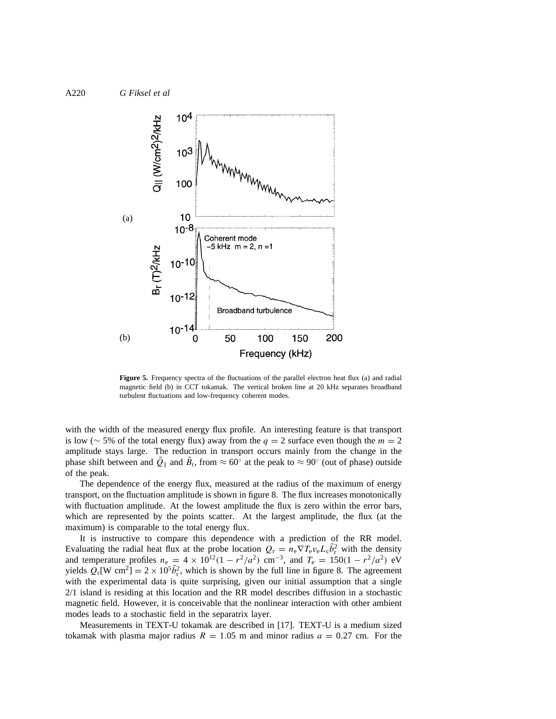

Figure 5. Frequency spectra of the fluctuations of the parallel electron heat flux (a) and radial magnetic field (b) in CCT tokamak. The vertical broken line at 20 kHz separates broadband turbulent fluctuations and low-frequency coherent modes.

with the width of the measured energy flux profile. An interesting feature is that transport is low (∼ 5% of the total energy flux) away from the *q* = 2 surface even though the *m* = 2 amplitude stays large. The reduction in transport occurs mainly from the change in the phase shift between and  $\tilde{Q}_{\parallel}$  and  $\tilde{B}_{\rm r}$ , from  $\approx 60^{\circ}$  at the peak to  $\approx 90^{\circ}$  (out of phase) outside of the peak.

The dependence of the energy flux, measured at the radius of the maximum of energy transport, on the fluctuation amplitude is shown in figure 8. The flux increases monotonically with fluctuation amplitude. At the lowest amplitude the flux is zero within the error bars, which are represented by the points scatter. At the largest amplitude, the flux (at the maximum) is comparable to the total energy flux.

It is instructive to compare this dependence with a prediction of the RR model. Evaluating the radial heat flux at the probe location  $Q_r = n_e \nabla T_e v_e L_c \tilde{b}_r^2$  with the density and temperature profiles  $n_e = 4 \times 10^{12} (1 - r^2/a^2)$  cm<sup>-3</sup>, and  $T_e = 150(1 - r^2/a^2)$  eV yields  $Q_r$ [W cm<sup>2</sup>] = 2 × 10<sup>5</sup> $\tilde{b}_r^2$ , which is shown by the full line in figure 8. The agreement with the experimental data is quite surprising, given our initial assumption that a single 2/1 island is residing at this location and the RR model describes diffusion in a stochastic magnetic field. However, it is conceivable that the nonlinear interaction with other ambient modes leads to a stochastic field in the separatrix layer.

Measurements in TEXT-U tokamak are described in [17]. TEXT-U is a medium sized tokamak with plasma major radius  $R = 1.05$  m and minor radius  $a = 0.27$  cm. For the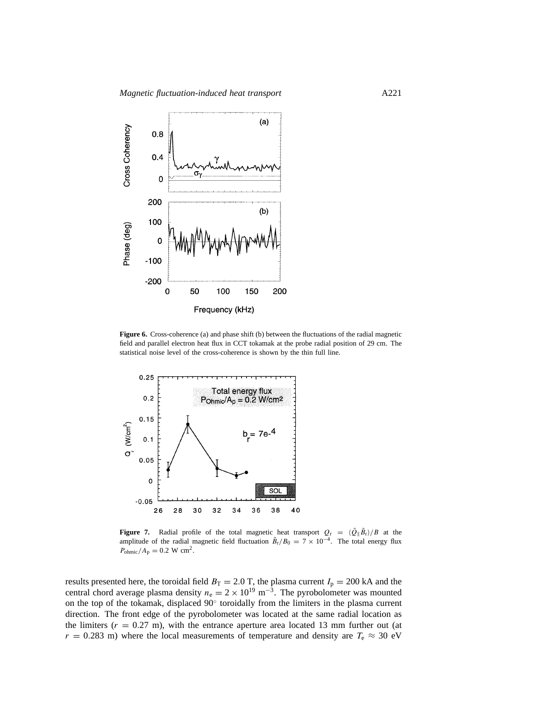

Figure 6. Cross-coherence (a) and phase shift (b) between the fluctuations of the radial magnetic field and parallel electron heat flux in CCT tokamak at the probe radial position of 29 cm. The statistical noise level of the cross-coherence is shown by the thin full line.



**Figure 7.** Radial profile of the total magnetic heat transport  $Q_r = \langle Q_\parallel B_r \rangle / B$  at the amplitude of the radial magnetic field fluctuation  $\tilde{B}_r/B_0 = 7 \times 10^{-4}$ . The total energy flux  $P_{\text{ohmic}}/A_p = 0.2 \text{ W cm}^2$ .

results presented here, the toroidal field  $B_T = 2.0$  T, the plasma current  $I_p = 200$  kA and the central chord average plasma density  $n_e = 2 \times 10^{19} \text{ m}^{-3}$ . The pyrobolometer was mounted on the top of the tokamak, displaced  $90°$  toroidally from the limiters in the plasma current direction. The front edge of the pyrobolometer was located at the same radial location as the limiters  $(r = 0.27 \text{ m})$ , with the entrance aperture area located 13 mm further out (at  $r = 0.283$  m) where the local measurements of temperature and density are  $T_e \approx 30$  eV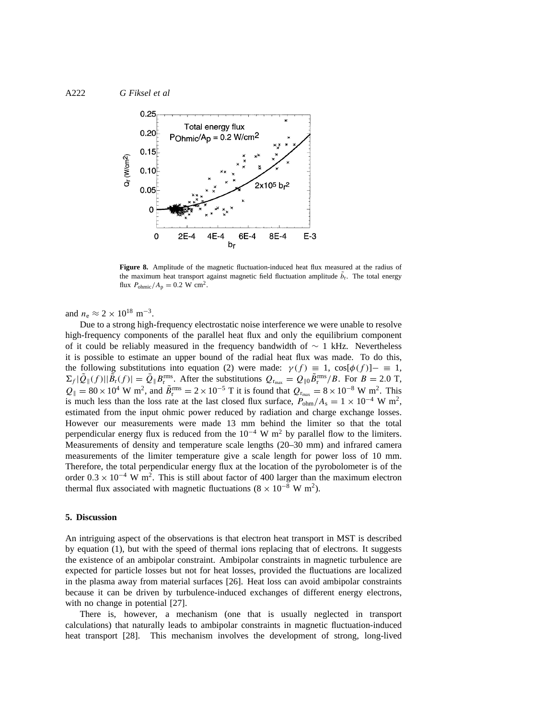

**Figure 8.** Amplitude of the magnetic fluctuation-induced heat flux measured at the radius of the maximum heat transport against magnetic field fluctuation amplitude  $b<sub>r</sub>$ . The total energy flux  $P_{\text{ohmic}}/A_p = 0.2 \text{ W cm}^2$ .

and  $n_e \approx 2 \times 10^{18}$  m<sup>-3</sup>.

Due to a strong high-frequency electrostatic noise interference we were unable to resolve high-frequency components of the parallel heat flux and only the equilibrium component of it could be reliably measured in the frequency bandwidth of  $\sim 1$  kHz. Nevertheless it is possible to estimate an upper bound of the radial heat flux was made. To do this, the following substitutions into equation (2) were made:  $\gamma(f) \equiv 1$ ,  $\cos[\phi(f)] - \equiv 1$ ,  $\sum_f |\tilde{Q}_{\parallel}(f)| |\tilde{B}_{\rm r}(f)| = \bar{Q}_{\parallel} B_{\rm r}^{\rm rms}$ . After the substitutions  $Q_{\rm r_{\rm max}} = Q_{\parallel 0} \tilde{B}_{\rm r}^{\rm rms}/B$ . For  $B = 2.0$  T,  $Q_{\parallel} = 80 \times 10^4$  W m<sup>2</sup>, and  $\tilde{B}_{\rm r}^{\rm rms} = 2 \times 10^{-5}$  T it is found that  $Q_{\rm r_{\rm max}} = 8 \times 10^{-8}$  W m<sup>2</sup>. This is much less than the loss rate at the last closed flux surface,  $P_{\text{ohm}}/A_s = 1 \times 10^{-4}$  W m<sup>2</sup>, estimated from the input ohmic power reduced by radiation and charge exchange losses. However our measurements were made 13 mm behind the limiter so that the total perpendicular energy flux is reduced from the  $10^{-4}$  W m<sup>2</sup> by parallel flow to the limiters. Measurements of density and temperature scale lengths (20–30 mm) and infrared camera measurements of the limiter temperature give a scale length for power loss of 10 mm. Therefore, the total perpendicular energy flux at the location of the pyrobolometer is of the order  $0.3 \times 10^{-4}$  W m<sup>2</sup>. This is still about factor of 400 larger than the maximum electron thermal flux associated with magnetic fluctuations ( $8 \times 10^{-8}$  W m<sup>2</sup>).

#### **5. Discussion**

An intriguing aspect of the observations is that electron heat transport in MST is described by equation (1), but with the speed of thermal ions replacing that of electrons. It suggests the existence of an ambipolar constraint. Ambipolar constraints in magnetic turbulence are expected for particle losses but not for heat losses, provided the fluctuations are localized in the plasma away from material surfaces [26]. Heat loss can avoid ambipolar constraints because it can be driven by turbulence-induced exchanges of different energy electrons, with no change in potential [27].

There is, however, a mechanism (one that is usually neglected in transport calculations) that naturally leads to ambipolar constraints in magnetic fluctuation-induced heat transport [28]. This mechanism involves the development of strong, long-lived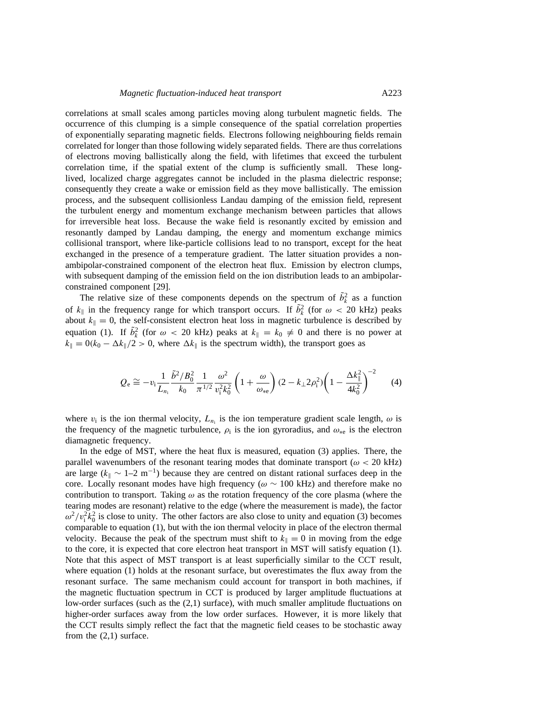correlations at small scales among particles moving along turbulent magnetic fields. The occurrence of this clumping is a simple consequence of the spatial correlation properties of exponentially separating magnetic fields. Electrons following neighbouring fields remain correlated for longer than those following widely separated fields. There are thus correlations of electrons moving ballistically along the field, with lifetimes that exceed the turbulent correlation time, if the spatial extent of the clump is sufficiently small. These longlived, localized charge aggregates cannot be included in the plasma dielectric response; consequently they create a wake or emission field as they move ballistically. The emission process, and the subsequent collisionless Landau damping of the emission field, represent the turbulent energy and momentum exchange mechanism between particles that allows for irreversible heat loss. Because the wake field is resonantly excited by emission and resonantly damped by Landau damping, the energy and momentum exchange mimics collisional transport, where like-particle collisions lead to no transport, except for the heat exchanged in the presence of a temperature gradient. The latter situation provides a nonambipolar-constrained component of the electron heat flux. Emission by electron clumps, with subsequent damping of the emission field on the ion distribution leads to an ambipolarconstrained component [29].

The relative size of these components depends on the spectrum of  $\tilde{b}_k^2$  as a function of  $k_{\parallel}$  in the frequency range for which transport occurs. If  $\tilde{b}_k^2$  (for  $\omega < 20$  kHz) peaks about  $k_{\parallel} = 0$ , the self-consistent electron heat loss in magnetic turbulence is described by equation (1). If  $\tilde{b}_k^2$  (for  $\omega < 20$  kHz) peaks at  $k_{\parallel} = k_0 \neq 0$  and there is no power at  $k_{\parallel} = 0(k_0 - \Delta k_{\parallel}/2 > 0$ , where  $\Delta k_{\parallel}$  is the spectrum width), the transport goes as

$$
Q_{\rm e} \cong -v_{\rm i} \frac{1}{L_{n_{\rm i}}} \frac{\tilde{b}^2 / B_0^2}{k_0} \frac{1}{\pi^{1/2}} \frac{\omega^2}{v_{\rm i}^2 k_0^2} \left(1 + \frac{\omega}{\omega_{\rm *e}}\right) (2 - k_\perp 2\rho_{\rm i}^2) \left(1 - \frac{\Delta k_{\parallel}^2}{4k_0^2}\right)^{-2} \tag{4}
$$

where  $v_i$  is the ion thermal velocity,  $L_{n_i}$  is the ion temperature gradient scale length,  $\omega$  is the frequency of the magnetic turbulence,  $\rho_i$  is the ion gyroradius, and  $\omega_{*e}$  is the electron diamagnetic frequency.

In the edge of MST, where the heat flux is measured, equation (3) applies. There, the parallel wavenumbers of the resonant tearing modes that dominate transport (*ω <* 20 kHz) are large ( $k_{\parallel} \sim 1-2 \text{ m}^{-1}$ ) because they are centred on distant rational surfaces deep in the core. Locally resonant modes have high frequency (*ω* ∼ 100 kHz) and therefore make no contribution to transport. Taking *ω* as the rotation frequency of the core plasma (where the tearing modes are resonant) relative to the edge (where the measurement is made), the factor  $\omega^2/v_i^2 k_0^2$  is close to unity. The other factors are also close to unity and equation (3) becomes comparable to equation (1), but with the ion thermal velocity in place of the electron thermal velocity. Because the peak of the spectrum must shift to  $k_{\parallel} = 0$  in moving from the edge to the core, it is expected that core electron heat transport in MST will satisfy equation (1). Note that this aspect of MST transport is at least superficially similar to the CCT result, where equation (1) holds at the resonant surface, but overestimates the flux away from the resonant surface. The same mechanism could account for transport in both machines, if the magnetic fluctuation spectrum in CCT is produced by larger amplitude fluctuations at low-order surfaces (such as the (2,1) surface), with much smaller amplitude fluctuations on higher-order surfaces away from the low order surfaces. However, it is more likely that the CCT results simply reflect the fact that the magnetic field ceases to be stochastic away from the (2,1) surface.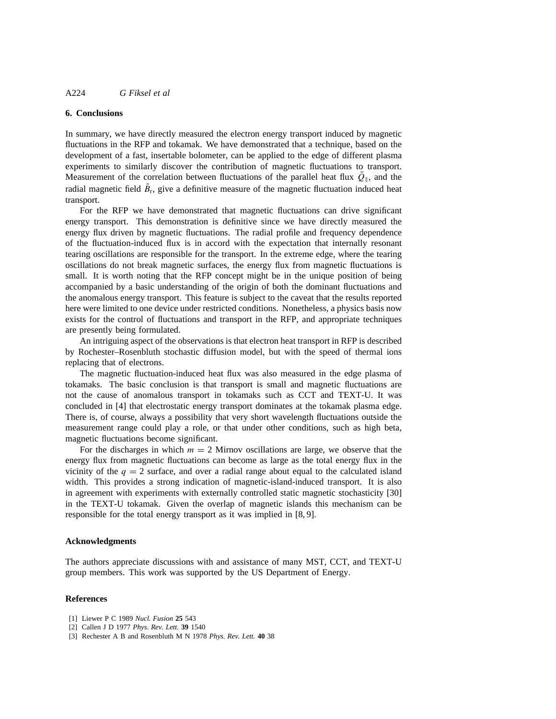## **6. Conclusions**

In summary, we have directly measured the electron energy transport induced by magnetic fluctuations in the RFP and tokamak. We have demonstrated that a technique, based on the development of a fast, insertable bolometer, can be applied to the edge of different plasma experiments to similarly discover the contribution of magnetic fluctuations to transport. Measurement of the correlation between fluctuations of the parallel heat flux  $Q_{\parallel}$ , and the radial magnetic field  $\tilde{B}_r$ , give a definitive measure of the magnetic fluctuation induced heat transport.

For the RFP we have demonstrated that magnetic fluctuations can drive significant energy transport. This demonstration is definitive since we have directly measured the energy flux driven by magnetic fluctuations. The radial profile and frequency dependence of the fluctuation-induced flux is in accord with the expectation that internally resonant tearing oscillations are responsible for the transport. In the extreme edge, where the tearing oscillations do not break magnetic surfaces, the energy flux from magnetic fluctuations is small. It is worth noting that the RFP concept might be in the unique position of being accompanied by a basic understanding of the origin of both the dominant fluctuations and the anomalous energy transport. This feature is subject to the caveat that the results reported here were limited to one device under restricted conditions. Nonetheless, a physics basis now exists for the control of fluctuations and transport in the RFP, and appropriate techniques are presently being formulated.

An intriguing aspect of the observations is that electron heat transport in RFP is described by Rochester–Rosenbluth stochastic diffusion model, but with the speed of thermal ions replacing that of electrons.

The magnetic fluctuation-induced heat flux was also measured in the edge plasma of tokamaks. The basic conclusion is that transport is small and magnetic fluctuations are not the cause of anomalous transport in tokamaks such as CCT and TEXT-U. It was concluded in [4] that electrostatic energy transport dominates at the tokamak plasma edge. There is, of course, always a possibility that very short wavelength fluctuations outside the measurement range could play a role, or that under other conditions, such as high beta, magnetic fluctuations become significant.

For the discharges in which  $m = 2$  Mirnov oscillations are large, we observe that the energy flux from magnetic fluctuations can become as large as the total energy flux in the vicinity of the  $q = 2$  surface, and over a radial range about equal to the calculated island width. This provides a strong indication of magnetic-island-induced transport. It is also in agreement with experiments with externally controlled static magnetic stochasticity [30] in the TEXT-U tokamak. Given the overlap of magnetic islands this mechanism can be responsible for the total energy transport as it was implied in [8, 9].

#### **Acknowledgments**

The authors appreciate discussions with and assistance of many MST, CCT, and TEXT-U group members. This work was supported by the US Department of Energy.

## **References**

- [1] Liewer P C 1989 *Nucl. Fusion* **25** 543
- [2] Callen J D 1977 *Phys. Rev. Lett.* **39** 1540
- [3] Rechester A B and Rosenbluth M N 1978 *Phys. Rev. Lett.* **40** 38